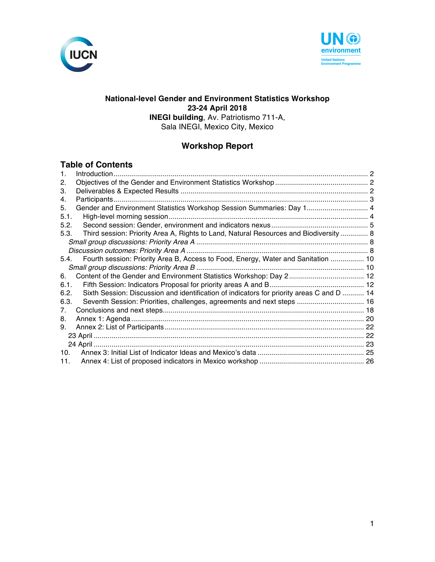



### **National-level Gender and Environment Statistics Workshop 23-24 April 2018 INEGI building**, Av. Patriotismo 711-A, Sala INEGI, Mexico City, Mexico

## **Workshop Report**

### **Table of Contents**

| $\mathbf 1$ |                                                                                           |  |
|-------------|-------------------------------------------------------------------------------------------|--|
| 2.          |                                                                                           |  |
| З.          |                                                                                           |  |
| 4.          |                                                                                           |  |
| 5.          | Gender and Environment Statistics Workshop Session Summaries: Day 1 4                     |  |
| 5.1.        |                                                                                           |  |
| 5.2.        |                                                                                           |  |
| 5.3.        | Third session: Priority Area A, Rights to Land, Natural Resources and Biodiversity  8     |  |
|             |                                                                                           |  |
|             |                                                                                           |  |
| 5.4.        | Fourth session: Priority Area B, Access to Food, Energy, Water and Sanitation  10         |  |
|             |                                                                                           |  |
| 6.          | Content of the Gender and Environment Statistics Workshop: Day 2 12                       |  |
| 6.1.        |                                                                                           |  |
| 6.2.        | Sixth Session: Discussion and identification of indicators for priority areas C and D  14 |  |
| 6.3.        | Seventh Session: Priorities, challenges, agreements and next steps  16                    |  |
| 7.          |                                                                                           |  |
| 8.          |                                                                                           |  |
| 9.          |                                                                                           |  |
|             |                                                                                           |  |
|             |                                                                                           |  |
| 10.         |                                                                                           |  |
| 11.         |                                                                                           |  |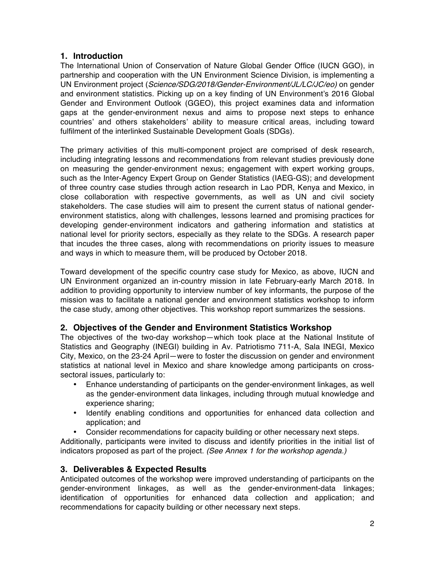## **1. Introduction**

The International Union of Conservation of Nature Global Gender Office (IUCN GGO), in partnership and cooperation with the UN Environment Science Division, is implementing a UN Environment project (*Science/SDG/2018/Gender-Environment/JL/LC/JC/eo)* on gender and environment statistics. Picking up on a key finding of UN Environment's 2016 Global Gender and Environment Outlook (GGEO), this project examines data and information gaps at the gender-environment nexus and aims to propose next steps to enhance countries' and others stakeholders' ability to measure critical areas, including toward fulfilment of the interlinked Sustainable Development Goals (SDGs).

The primary activities of this multi-component project are comprised of desk research, including integrating lessons and recommendations from relevant studies previously done on measuring the gender-environment nexus; engagement with expert working groups, such as the Inter-Agency Expert Group on Gender Statistics (IAEG-GS); and development of three country case studies through action research in Lao PDR, Kenya and Mexico, in close collaboration with respective governments, as well as UN and civil society stakeholders. The case studies will aim to present the current status of national genderenvironment statistics, along with challenges, lessons learned and promising practices for developing gender-environment indicators and gathering information and statistics at national level for priority sectors, especially as they relate to the SDGs. A research paper that incudes the three cases, along with recommendations on priority issues to measure and ways in which to measure them, will be produced by October 2018.

Toward development of the specific country case study for Mexico, as above, IUCN and UN Environment organized an in-country mission in late February-early March 2018. In addition to providing opportunity to interview number of key informants, the purpose of the mission was to facilitate a national gender and environment statistics workshop to inform the case study, among other objectives. This workshop report summarizes the sessions.

## **2. Objectives of the Gender and Environment Statistics Workshop**

The objectives of the two-day workshop—which took place at the National Institute of Statistics and Geography (INEGI) building in Av. Patriotismo 711-A, Sala INEGI, Mexico City, Mexico, on the 23-24 April—were to foster the discussion on gender and environment statistics at national level in Mexico and share knowledge among participants on crosssectoral issues, particularly to:

- Enhance understanding of participants on the gender-environment linkages, as well as the gender-environment data linkages, including through mutual knowledge and experience sharing;
- Identify enabling conditions and opportunities for enhanced data collection and application; and
- Consider recommendations for capacity building or other necessary next steps.

Additionally, participants were invited to discuss and identify priorities in the initial list of indicators proposed as part of the project. *(See Annex 1 for the workshop agenda.)*

## **3. Deliverables & Expected Results**

Anticipated outcomes of the workshop were improved understanding of participants on the gender-environment linkages, as well as the gender-environment-data linkages; identification of opportunities for enhanced data collection and application; and recommendations for capacity building or other necessary next steps.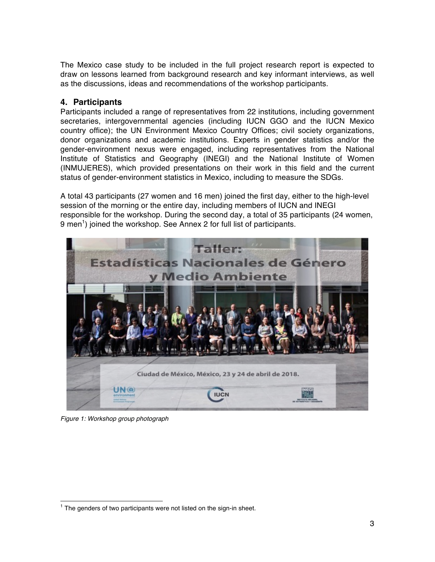The Mexico case study to be included in the full project research report is expected to draw on lessons learned from background research and key informant interviews, as well as the discussions, ideas and recommendations of the workshop participants.

## **4. Participants**

Participants included a range of representatives from 22 institutions, including government secretaries, intergovernmental agencies (including IUCN GGO and the IUCN Mexico country office); the UN Environment Mexico Country Offices; civil society organizations, donor organizations and academic institutions. Experts in gender statistics and/or the gender-environment nexus were engaged, including representatives from the National Institute of Statistics and Geography (INEGI) and the National Institute of Women (INMUJERES), which provided presentations on their work in this field and the current status of gender-environment statistics in Mexico, including to measure the SDGs.

A total 43 participants (27 women and 16 men) joined the first day, either to the high-level session of the morning or the entire day, including members of IUCN and INEGI responsible for the workshop. During the second day, a total of 35 participants (24 women, 9 men<sup>1</sup>) joined the workshop. See Annex 2 for full list of participants.



*Figure 1: Workshop group photograph*

 $1$  The genders of two participants were not listed on the sign-in sheet.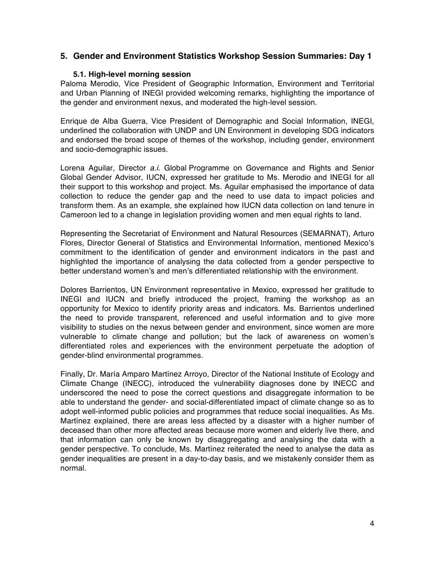## **5. Gender and Environment Statistics Workshop Session Summaries: Day 1**

#### **5.1. High-level morning session**

Paloma Merodio, Vice President of Geographic Information, Environment and Territorial and Urban Planning of INEGI provided welcoming remarks, highlighting the importance of the gender and environment nexus, and moderated the high-level session.

Enrique de Alba Guerra, Vice President of Demographic and Social Information, INEGI, underlined the collaboration with UNDP and UN Environment in developing SDG indicators and endorsed the broad scope of themes of the workshop, including gender, environment and socio-demographic issues.

Lorena Aguilar, Director *a.i.* Global Programme on Governance and Rights and Senior Global Gender Advisor, IUCN, expressed her gratitude to Ms. Merodio and INEGI for all their support to this workshop and project. Ms. Aguilar emphasised the importance of data collection to reduce the gender gap and the need to use data to impact policies and transform them. As an example, she explained how IUCN data collection on land tenure in Cameroon led to a change in legislation providing women and men equal rights to land.

Representing the Secretariat of Environment and Natural Resources (SEMARNAT), Arturo Flores, Director General of Statistics and Environmental Information, mentioned Mexico's commitment to the identification of gender and environment indicators in the past and highlighted the importance of analysing the data collected from a gender perspective to better understand women's and men's differentiated relationship with the environment.

Dolores Barrientos, UN Environment representative in Mexico, expressed her gratitude to INEGI and IUCN and briefly introduced the project, framing the workshop as an opportunity for Mexico to identify priority areas and indicators. Ms. Barrientos underlined the need to provide transparent, referenced and useful information and to give more visibility to studies on the nexus between gender and environment, since women are more vulnerable to climate change and pollution; but the lack of awareness on women's differentiated roles and experiences with the environment perpetuate the adoption of gender-blind environmental programmes.

Finally, Dr. María Amparo Martínez Arroyo, Director of the National Institute of Ecology and Climate Change (INECC), introduced the vulnerability diagnoses done by INECC and underscored the need to pose the correct questions and disaggregate information to be able to understand the gender- and social-differentiated impact of climate change so as to adopt well-informed public policies and programmes that reduce social inequalities. As Ms. Martínez explained, there are areas less affected by a disaster with a higher number of deceased than other more affected areas because more women and elderly live there, and that information can only be known by disaggregating and analysing the data with a gender perspective. To conclude, Ms. Martínez reiterated the need to analyse the data as gender inequalities are present in a day-to-day basis, and we mistakenly consider them as normal.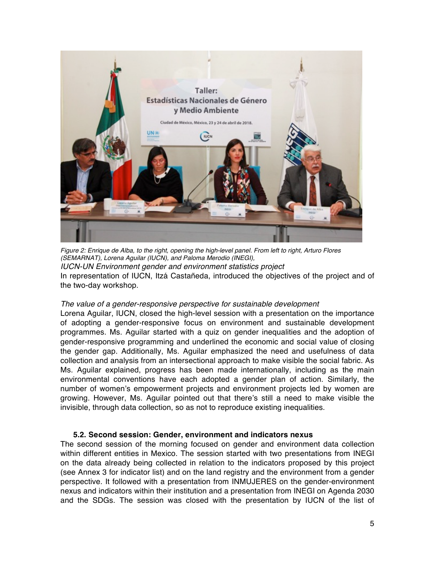

*Figure 2: Enrique de Alba, to the right, opening the high-level panel. From left to right, Arturo Flores (SEMARNAT), Lorena Aguilar (IUCN), and Paloma Merodio (INEGI), IUCN-UN Environment gender and environment statistics project* In representation of IUCN, Itzá Castañeda, introduced the objectives of the project and of the two-day workshop.

#### *The value of a gender-responsive perspective for sustainable development*

Lorena Aguilar, IUCN, closed the high-level session with a presentation on the importance of adopting a gender-responsive focus on environment and sustainable development programmes. Ms. Aguilar started with a quiz on gender inequalities and the adoption of gender-responsive programming and underlined the economic and social value of closing the gender gap. Additionally, Ms. Aguilar emphasized the need and usefulness of data collection and analysis from an intersectional approach to make visible the social fabric. As Ms. Aguilar explained, progress has been made internationally, including as the main environmental conventions have each adopted a gender plan of action. Similarly, the number of women's empowerment projects and environment projects led by women are growing. However, Ms. Aguilar pointed out that there's still a need to make visible the invisible, through data collection, so as not to reproduce existing inequalities.

#### **5.2. Second session: Gender, environment and indicators nexus**

The second session of the morning focused on gender and environment data collection within different entities in Mexico. The session started with two presentations from INEGI on the data already being collected in relation to the indicators proposed by this project (see Annex 3 for indicator list) and on the land registry and the environment from a gender perspective. It followed with a presentation from INMUJERES on the gender-environment nexus and indicators within their institution and a presentation from INEGI on Agenda 2030 and the SDGs. The session was closed with the presentation by IUCN of the list of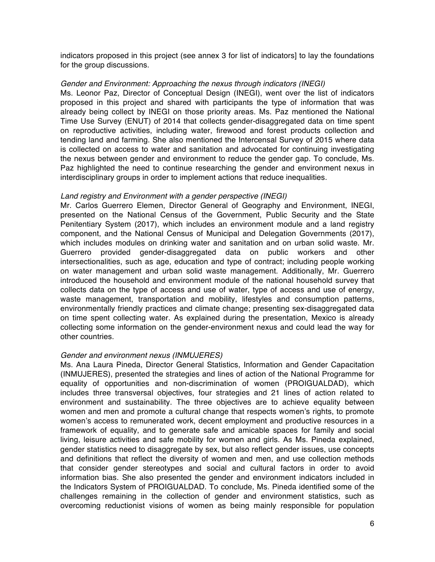indicators proposed in this project (see annex 3 for list of indicators] to lay the foundations for the group discussions.

#### *Gender and Environment: Approaching the nexus through indicators (INEGI)*

Ms. Leonor Paz, Director of Conceptual Design (INEGI), went over the list of indicators proposed in this project and shared with participants the type of information that was already being collect by INEGI on those priority areas. Ms. Paz mentioned the National Time Use Survey (ENUT) of 2014 that collects gender-disaggregated data on time spent on reproductive activities, including water, firewood and forest products collection and tending land and farming. She also mentioned the Intercensal Survey of 2015 where data is collected on access to water and sanitation and advocated for continuing investigating the nexus between gender and environment to reduce the gender gap. To conclude, Ms. Paz highlighted the need to continue researching the gender and environment nexus in interdisciplinary groups in order to implement actions that reduce inequalities.

#### *Land registry and Environment with a gender perspective (INEGI)*

Mr. Carlos Guerrero Elemen, Director General of Geography and Environment, INEGI, presented on the National Census of the Government, Public Security and the State Penitentiary System (2017), which includes an environment module and a land registry component, and the National Census of Municipal and Delegation Governments (2017), which includes modules on drinking water and sanitation and on urban solid waste. Mr. Guerrero provided gender-disaggregated data on public workers and other intersectionalities, such as age, education and type of contract; including people working on water management and urban solid waste management. Additionally, Mr. Guerrero introduced the household and environment module of the national household survey that collects data on the type of access and use of water, type of access and use of energy, waste management, transportation and mobility, lifestyles and consumption patterns, environmentally friendly practices and climate change; presenting sex-disaggregated data on time spent collecting water. As explained during the presentation, Mexico is already collecting some information on the gender-environment nexus and could lead the way for other countries.

#### *Gender and environment nexus (INMUJERES)*

Ms. Ana Laura Pineda, Director General Statistics, Information and Gender Capacitation (INMUJERES), presented the strategies and lines of action of the National Programme for equality of opportunities and non-discrimination of women (PROIGUALDAD), which includes three transversal objectives, four strategies and 21 lines of action related to environment and sustainability. The three objectives are to achieve equality between women and men and promote a cultural change that respects women's rights, to promote women's access to remunerated work, decent employment and productive resources in a framework of equality, and to generate safe and amicable spaces for family and social living, leisure activities and safe mobility for women and girls. As Ms. Pineda explained, gender statistics need to disaggregate by sex, but also reflect gender issues, use concepts and definitions that reflect the diversity of women and men, and use collection methods that consider gender stereotypes and social and cultural factors in order to avoid information bias. She also presented the gender and environment indicators included in the Indicators System of PROIGUALDAD. To conclude, Ms. Pineda identified some of the challenges remaining in the collection of gender and environment statistics, such as overcoming reductionist visions of women as being mainly responsible for population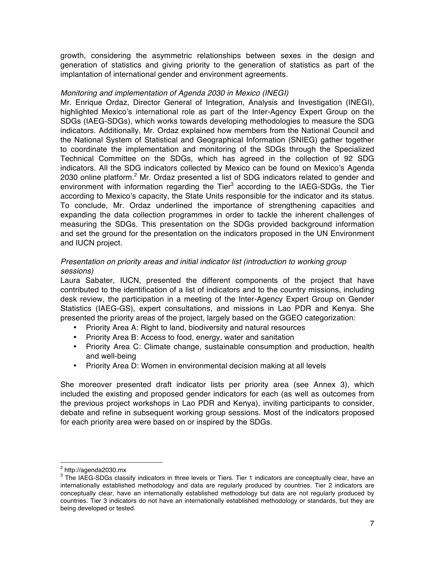growth, considering the asymmetric relationships between sexes in the design and generation of statistics and giving priority to the generation of statistics as part of the implantation of international gender and environment agreements.

#### *Monitoring and implementation of Agenda 2030 in Mexico (INEGI)*

Mr. Enrique Ordaz, Director General of Integration, Analysis and Investigation (INEGI), highlighted Mexico's international role as part of the Inter-Agency Expert Group on the SDGs (IAEG-SDGs), which works towards developing methodologies to measure the SDG indicators. Additionally, Mr. Ordaz explained how members from the National Council and the National System of Statistical and Geographical Information (SNIEG) gather together to coordinate the implementation and monitoring of the SDGs through the Specialized Technical Committee on the SDGs, which has agreed in the collection of 92 SDG indicators. All the SDG indicators collected by Mexico can be found on Mexico's Agenda 2030 online platform.<sup>2</sup> Mr. Ordaz presented a list of SDG indicators related to gender and environment with information regarding the Tier $<sup>3</sup>$  according to the IAEG-SDGs, the Tier</sup> according to Mexico's capacity, the State Units responsible for the indicator and its status. To conclude, Mr. Ordaz underlined the importance of strengthening capacities and expanding the data collection programmes in order to tackle the inherent challenges of measuring the SDGs. This presentation on the SDGs provided background information and set the ground for the presentation on the indicators proposed in the UN Environment and IUCN project.

#### *Presentation on priority areas and initial indicator list (introduction to working group sessions)*

Laura Sabater, IUCN, presented the different components of the project that have contributed to the identification of a list of indicators and to the country missions, including desk review, the participation in a meeting of the Inter-Agency Expert Group on Gender Statistics (IAEG-GS), expert consultations, and missions in Lao PDR and Kenya. She presented the priority areas of the project, largely based on the GGEO categorization:

- Priority Area A: Right to land, biodiversity and natural resources
- Priority Area B: Access to food, energy, water and sanitation
- Priority Area C: Climate change, sustainable consumption and production, health and well-being
- Priority Area D: Women in environmental decision making at all levels

She moreover presented draft indicator lists per priority area (see Annex 3), which included the existing and proposed gender indicators for each (as well as outcomes from the previous project workshops in Lao PDR and Kenya), inviting participants to consider, debate and refine in subsequent working group sessions. Most of the indicators proposed for each priority area were based on or inspired by the SDGs.

 <sup>2</sup> http://agenda2030.mx

 $3$  The IAEG-SDGs classify indicators in three levels or Tiers. Tier 1 indicators are conceptually clear, have an internationally established methodology and data are regularly produced by countries. Tier 2 indicators are conceptually clear, have an internationally established methodology but data are not regularly produced by countries. Tier 3 indicators do not have an internationally established methodology or standards, but they are being developed or tested.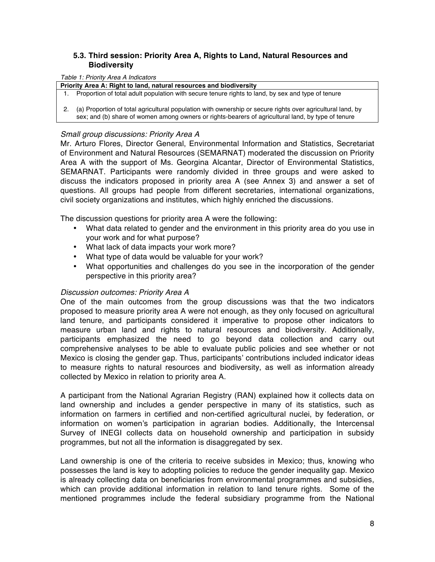### **5.3. Third session: Priority Area A, Rights to Land, Natural Resources and Biodiversity**

#### *Table 1: Priority Area A Indicators*

**Priority Area A: Right to land, natural resources and biodiversity**

1. Proportion of total adult population with secure tenure rights to land, by sex and type of tenure

2. (a) Proportion of total agricultural population with ownership or secure rights over agricultural land, by sex; and (b) share of women among owners or rights-bearers of agricultural land, by type of tenure

#### *Small group discussions: Priority Area A*

Mr. Arturo Flores, Director General, Environmental Information and Statistics, Secretariat of Environment and Natural Resources (SEMARNAT) moderated the discussion on Priority Area A with the support of Ms. Georgina Alcantar, Director of Environmental Statistics, SEMARNAT. Participants were randomly divided in three groups and were asked to discuss the indicators proposed in priority area A (see Annex 3) and answer a set of questions. All groups had people from different secretaries, international organizations, civil society organizations and institutes, which highly enriched the discussions.

The discussion questions for priority area A were the following:

- What data related to gender and the environment in this priority area do you use in your work and for what purpose?
- What lack of data impacts your work more?
- What type of data would be valuable for your work?
- What opportunities and challenges do you see in the incorporation of the gender perspective in this priority area?

#### *Discussion outcomes: Priority Area A*

One of the main outcomes from the group discussions was that the two indicators proposed to measure priority area A were not enough, as they only focused on agricultural land tenure, and participants considered it imperative to propose other indicators to measure urban land and rights to natural resources and biodiversity. Additionally, participants emphasized the need to go beyond data collection and carry out comprehensive analyses to be able to evaluate public policies and see whether or not Mexico is closing the gender gap. Thus, participants' contributions included indicator ideas to measure rights to natural resources and biodiversity, as well as information already collected by Mexico in relation to priority area A.

A participant from the National Agrarian Registry (RAN) explained how it collects data on land ownership and includes a gender perspective in many of its statistics, such as information on farmers in certified and non-certified agricultural nuclei, by federation, or information on women's participation in agrarian bodies. Additionally, the Intercensal Survey of INEGI collects data on household ownership and participation in subsidy programmes, but not all the information is disaggregated by sex.

Land ownership is one of the criteria to receive subsides in Mexico; thus, knowing who possesses the land is key to adopting policies to reduce the gender inequality gap. Mexico is already collecting data on beneficiaries from environmental programmes and subsidies, which can provide additional information in relation to land tenure rights. Some of the mentioned programmes include the federal subsidiary programme from the National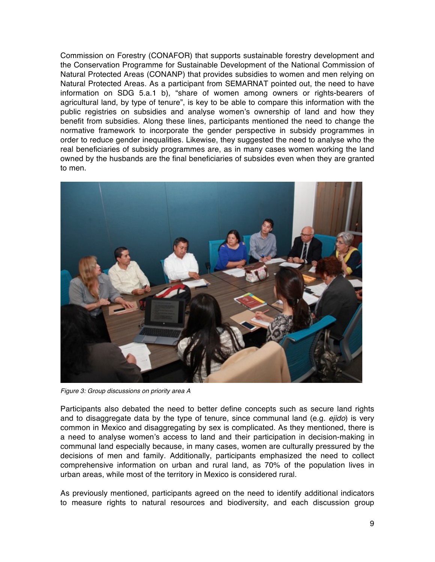Commission on Forestry (CONAFOR) that supports sustainable forestry development and the Conservation Programme for Sustainable Development of the National Commission of Natural Protected Areas (CONANP) that provides subsidies to women and men relying on Natural Protected Areas. As a participant from SEMARNAT pointed out, the need to have information on SDG 5.a.1 b), "share of women among owners or rights-bearers of agricultural land, by type of tenure", is key to be able to compare this information with the public registries on subsidies and analyse women's ownership of land and how they benefit from subsidies. Along these lines, participants mentioned the need to change the normative framework to incorporate the gender perspective in subsidy programmes in order to reduce gender inequalities. Likewise, they suggested the need to analyse who the real beneficiaries of subsidy programmes are, as in many cases women working the land owned by the husbands are the final beneficiaries of subsides even when they are granted to men.



*Figure 3: Group discussions on priority area A*

Participants also debated the need to better define concepts such as secure land rights and to disaggregate data by the type of tenure, since communal land (e.g. *ejido*) is very common in Mexico and disaggregating by sex is complicated. As they mentioned, there is a need to analyse women's access to land and their participation in decision-making in communal land especially because, in many cases, women are culturally pressured by the decisions of men and family. Additionally, participants emphasized the need to collect comprehensive information on urban and rural land, as 70% of the population lives in urban areas, while most of the territory in Mexico is considered rural.

As previously mentioned, participants agreed on the need to identify additional indicators to measure rights to natural resources and biodiversity, and each discussion group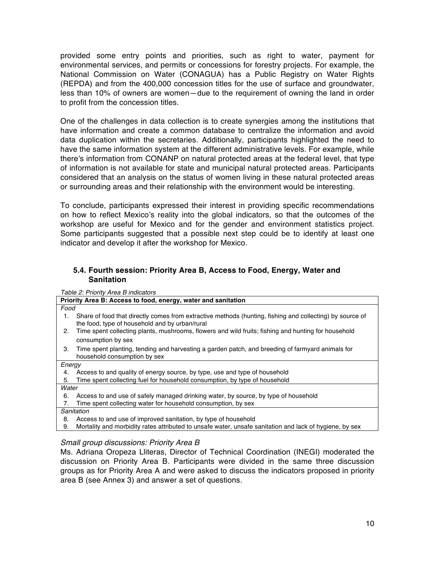provided some entry points and priorities, such as right to water, payment for environmental services, and permits or concessions for forestry projects. For example, the National Commission on Water (CONAGUA) has a Public Registry on Water Rights (REPDA) and from the 400,000 concession titles for the use of surface and groundwater, less than 10% of owners are women—due to the requirement of owning the land in order to profit from the concession titles.

One of the challenges in data collection is to create synergies among the institutions that have information and create a common database to centralize the information and avoid data duplication within the secretaries. Additionally, participants highlighted the need to have the same information system at the different administrative levels. For example, while there's information from CONANP on natural protected areas at the federal level, that type of information is not available for state and municipal natural protected areas. Participants considered that an analysis on the status of women living in these natural protected areas or surrounding areas and their relationship with the environment would be interesting.

To conclude, participants expressed their interest in providing specific recommendations on how to reflect Mexico's reality into the global indicators, so that the outcomes of the workshop are useful for Mexico and for the gender and environment statistics project. Some participants suggested that a possible next step could be to identify at least one indicator and develop it after the workshop for Mexico.

#### **5.4. Fourth session: Priority Area B, Access to Food, Energy, Water and Sanitation**

*Table 2: Priority Area B indicators*

|        | Priority Area B: Access to food, energy, water and sanitation                                                                                              |
|--------|------------------------------------------------------------------------------------------------------------------------------------------------------------|
| Food   |                                                                                                                                                            |
| 1.     | Share of food that directly comes from extractive methods (hunting, fishing and collecting) by source of<br>the food, type of household and by urban/rural |
| 2.     | Time spent collecting plants, mushrooms, flowers and wild fruits; fishing and hunting for household                                                        |
|        | consumption by sex                                                                                                                                         |
| 3.     | Time spent planting, tending and harvesting a garden patch, and breeding of farmyard animals for                                                           |
|        | household consumption by sex                                                                                                                               |
| Energy |                                                                                                                                                            |
| 4.     | Access to and quality of energy source, by type, use and type of household                                                                                 |
| 5.     | Time spent collecting fuel for household consumption, by type of household                                                                                 |
| Water  |                                                                                                                                                            |
| 6.     | Access to and use of safely managed drinking water, by source, by type of household                                                                        |
| 7.     | Time spent collecting water for household consumption, by sex                                                                                              |
|        | Sanitation                                                                                                                                                 |
| 8.     | Access to and use of improved sanitation, by type of household                                                                                             |
| 9.     | Mortality and morbidity rates attributed to unsafe water, unsafe sanitation and lack of hygiene, by sex                                                    |
|        |                                                                                                                                                            |

#### *Small group discussions: Priority Area B*

Ms. Adriana Oropeza Lliteras, Director of Technical Coordination (INEGI) moderated the discussion on Priority Area B. Participants were divided in the same three discussion groups as for Priority Area A and were asked to discuss the indicators proposed in priority area B (see Annex 3) and answer a set of questions.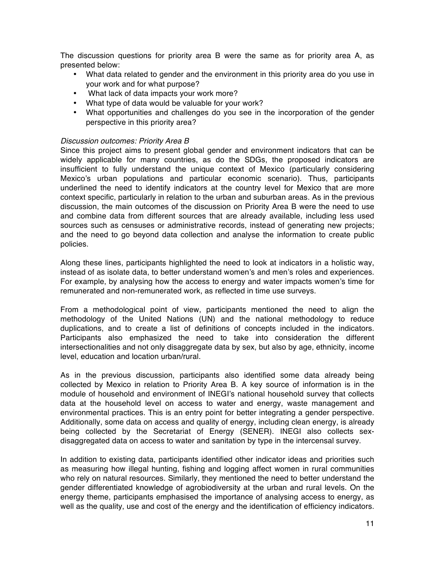The discussion questions for priority area B were the same as for priority area A, as presented below:

- What data related to gender and the environment in this priority area do you use in your work and for what purpose?
- What lack of data impacts your work more?
- What type of data would be valuable for your work?
- What opportunities and challenges do you see in the incorporation of the gender perspective in this priority area?

#### *Discussion outcomes: Priority Area B*

Since this project aims to present global gender and environment indicators that can be widely applicable for many countries, as do the SDGs, the proposed indicators are insufficient to fully understand the unique context of Mexico (particularly considering Mexico's urban populations and particular economic scenario). Thus, participants underlined the need to identify indicators at the country level for Mexico that are more context specific, particularly in relation to the urban and suburban areas. As in the previous discussion, the main outcomes of the discussion on Priority Area B were the need to use and combine data from different sources that are already available, including less used sources such as censuses or administrative records, instead of generating new projects; and the need to go beyond data collection and analyse the information to create public policies.

Along these lines, participants highlighted the need to look at indicators in a holistic way, instead of as isolate data, to better understand women's and men's roles and experiences. For example, by analysing how the access to energy and water impacts women's time for remunerated and non-remunerated work, as reflected in time use surveys.

From a methodological point of view, participants mentioned the need to align the methodology of the United Nations (UN) and the national methodology to reduce duplications, and to create a list of definitions of concepts included in the indicators. Participants also emphasized the need to take into consideration the different intersectionalities and not only disaggregate data by sex, but also by age, ethnicity, income level, education and location urban/rural.

As in the previous discussion, participants also identified some data already being collected by Mexico in relation to Priority Area B. A key source of information is in the module of household and environment of INEGI's national household survey that collects data at the household level on access to water and energy, waste management and environmental practices. This is an entry point for better integrating a gender perspective. Additionally, some data on access and quality of energy, including clean energy, is already being collected by the Secretariat of Energy (SENER). INEGI also collects sexdisaggregated data on access to water and sanitation by type in the intercensal survey.

In addition to existing data, participants identified other indicator ideas and priorities such as measuring how illegal hunting, fishing and logging affect women in rural communities who rely on natural resources. Similarly, they mentioned the need to better understand the gender differentiated knowledge of agrobiodiversity at the urban and rural levels. On the energy theme, participants emphasised the importance of analysing access to energy, as well as the quality, use and cost of the energy and the identification of efficiency indicators.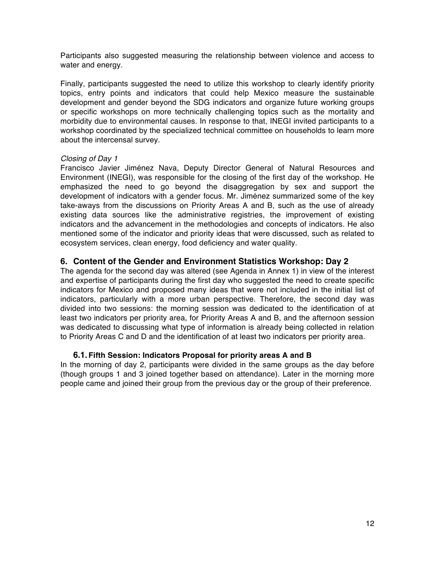Participants also suggested measuring the relationship between violence and access to water and energy.

Finally, participants suggested the need to utilize this workshop to clearly identify priority topics, entry points and indicators that could help Mexico measure the sustainable development and gender beyond the SDG indicators and organize future working groups or specific workshops on more technically challenging topics such as the mortality and morbidity due to environmental causes. In response to that, INEGI invited participants to a workshop coordinated by the specialized technical committee on households to learn more about the intercensal survey.

#### *Closing of Day 1*

Francisco Javier Jiménez Nava, Deputy Director General of Natural Resources and Environment (INEGI), was responsible for the closing of the first day of the workshop. He emphasized the need to go beyond the disaggregation by sex and support the development of indicators with a gender focus. Mr. Jiménez summarized some of the key take-aways from the discussions on Priority Areas A and B, such as the use of already existing data sources like the administrative registries, the improvement of existing indicators and the advancement in the methodologies and concepts of indicators. He also mentioned some of the indicator and priority ideas that were discussed, such as related to ecosystem services, clean energy, food deficiency and water quality.

### **6. Content of the Gender and Environment Statistics Workshop: Day 2**

The agenda for the second day was altered (see Agenda in Annex 1) in view of the interest and expertise of participants during the first day who suggested the need to create specific indicators for Mexico and proposed many ideas that were not included in the initial list of indicators, particularly with a more urban perspective. Therefore, the second day was divided into two sessions: the morning session was dedicated to the identification of at least two indicators per priority area, for Priority Areas A and B, and the afternoon session was dedicated to discussing what type of information is already being collected in relation to Priority Areas C and D and the identification of at least two indicators per priority area.

#### **6.1.Fifth Session: Indicators Proposal for priority areas A and B**

In the morning of day 2, participants were divided in the same groups as the day before (though groups 1 and 3 joined together based on attendance). Later in the morning more people came and joined their group from the previous day or the group of their preference.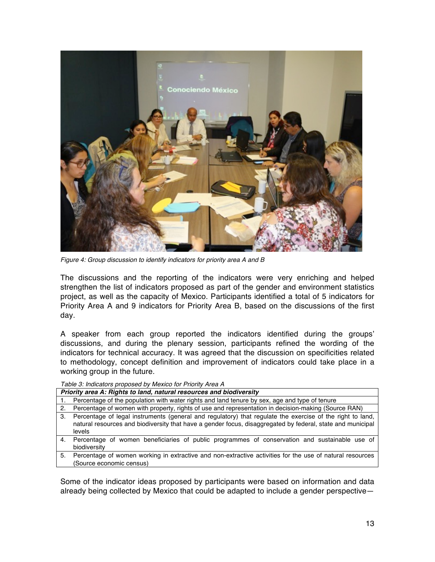

*Figure 4: Group discussion to identify indicators for priority area A and B*

The discussions and the reporting of the indicators were very enriching and helped strengthen the list of indicators proposed as part of the gender and environment statistics project, as well as the capacity of Mexico. Participants identified a total of 5 indicators for Priority Area A and 9 indicators for Priority Area B, based on the discussions of the first day.

A speaker from each group reported the indicators identified during the groups' discussions, and during the plenary session, participants refined the wording of the indicators for technical accuracy. It was agreed that the discussion on specificities related to methodology, concept definition and improvement of indicators could take place in a working group in the future.

*Table 3: Indicators proposed by Mexico for Priority Area A*

|    | Priority area A: Rights to land, natural resources and biodiversity                                         |  |
|----|-------------------------------------------------------------------------------------------------------------|--|
|    | Percentage of the population with water rights and land tenure by sex, age and type of tenure               |  |
|    | 2. Percentage of women with property, rights of use and representation in decision-making (Source RAN)      |  |
| З. | Percentage of legal instruments (general and regulatory) that regulate the exercise of the right to land,   |  |
|    | natural resources and biodiversity that have a gender focus, disaggregated by federal, state and municipal  |  |
|    | levels                                                                                                      |  |
| 4. | Percentage of women beneficiaries of public programmes of conservation and sustainable use of               |  |
|    | biodiversity                                                                                                |  |
|    | E Derections of wamen werking in extractive and non-extractive estimities for the use of netural resources. |  |

5. Percentage of women working in extractive and non-extractive activities for the use of natural resources (Source economic census)

Some of the indicator ideas proposed by participants were based on information and data already being collected by Mexico that could be adapted to include a gender perspective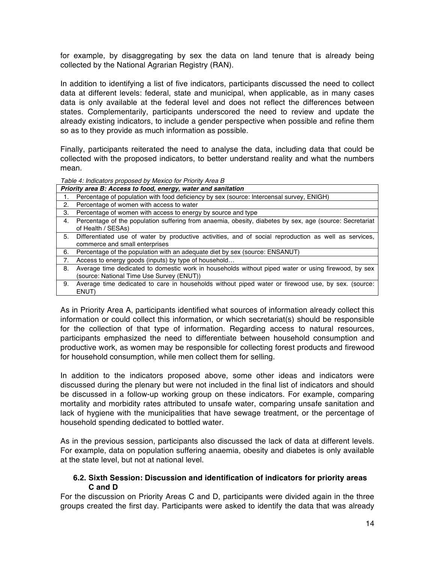for example, by disaggregating by sex the data on land tenure that is already being collected by the National Agrarian Registry (RAN).

In addition to identifying a list of five indicators, participants discussed the need to collect data at different levels: federal, state and municipal, when applicable, as in many cases data is only available at the federal level and does not reflect the differences between states. Complementarily, participants underscored the need to review and update the already existing indicators, to include a gender perspective when possible and refine them so as to they provide as much information as possible.

Finally, participants reiterated the need to analyse the data, including data that could be collected with the proposed indicators, to better understand reality and what the numbers mean.

*Table 4: Indicators proposed by Mexico for Priority Area B*

|    | Priority area B: Access to food, energy, water and sanitation                                                                                    |
|----|--------------------------------------------------------------------------------------------------------------------------------------------------|
|    | Percentage of population with food deficiency by sex (source: Intercensal survey, ENIGH)                                                         |
| 2. | Percentage of women with access to water                                                                                                         |
| 3. | Percentage of women with access to energy by source and type                                                                                     |
| 4. | Percentage of the population suffering from anaemia, obesity, diabetes by sex, age (source: Secretariat<br>of Health / SESAs)                    |
| 5. | Differentiated use of water by productive activities, and of social reproduction as well as services,<br>commerce and small enterprises          |
| 6. | Percentage of the population with an adequate diet by sex (source: ENSANUT)                                                                      |
| 7. | Access to energy goods (inputs) by type of household                                                                                             |
| 8. | Average time dedicated to domestic work in households without piped water or using firewood, by sex<br>(source: National Time Use Survey (ENUT)) |
| 9. | Average time dedicated to care in households without piped water or firewood use, by sex. (source:<br>ENUT)                                      |

As in Priority Area A, participants identified what sources of information already collect this information or could collect this information, or which secretariat(s) should be responsible for the collection of that type of information. Regarding access to natural resources, participants emphasized the need to differentiate between household consumption and productive work, as women may be responsible for collecting forest products and firewood for household consumption, while men collect them for selling.

In addition to the indicators proposed above, some other ideas and indicators were discussed during the plenary but were not included in the final list of indicators and should be discussed in a follow-up working group on these indicators. For example, comparing mortality and morbidity rates attributed to unsafe water, comparing unsafe sanitation and lack of hygiene with the municipalities that have sewage treatment, or the percentage of household spending dedicated to bottled water.

As in the previous session, participants also discussed the lack of data at different levels. For example, data on population suffering anaemia, obesity and diabetes is only available at the state level, but not at national level.

#### **6.2. Sixth Session: Discussion and identification of indicators for priority areas C and D**

For the discussion on Priority Areas C and D, participants were divided again in the three groups created the first day. Participants were asked to identify the data that was already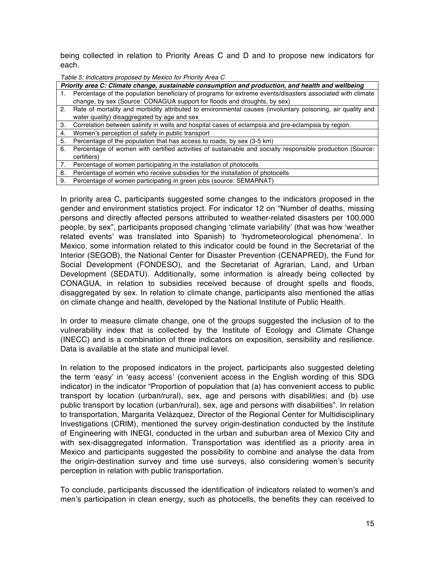being collected in relation to Priority Areas C and D and to propose new indicators for each.

*Table 5: Indicators proposed by Mexico for Priority Area C*

|    | Priority area C: Climate change, sustainable consumption and production, and health and wellbeing             |
|----|---------------------------------------------------------------------------------------------------------------|
|    | Percentage of the population beneficiary of programs for extreme events/disasters associated with climate     |
|    | change, by sex (Source: CONAGUA support for floods and droughts, by sex)                                      |
|    | 2. Rate of mortality and morbidity attributed to environmental causes (involuntary poisoning, air quality and |
|    | water quality) disaggregated by age and sex                                                                   |
|    | 3. Correlation between salinity in wells and hospital cases of eclampsia and pre-eclampsia by region.         |
| 4. | Women's perception of safety in public transport                                                              |
| 5. | Percentage of the population that has access to roads, by sex (3-5 km)                                        |
| 6. | Percentage of women with certified activities of sustainable and socially responsible production (Source:     |
|    | certifiers)                                                                                                   |
|    | 7. Percentage of women participating in the installation of photocells                                        |
| 8. | Percentage of women who receive subsidies for the installation of photocells                                  |
| 9. | Percentage of women participating in green jobs (source: SEMARNAT)                                            |

In priority area C, participants suggested some changes to the indicators proposed in the gender and environment statistics project. For indicator 12 on "Number of deaths, missing persons and directly affected persons attributed to weather-related disasters per 100,000 people, by sex", participants proposed changing 'climate variability' (that was how 'weather related events' was translated into Spanish) to 'hydrometeorological phenomena'. In Mexico, some information related to this indicator could be found in the Secretariat of the Interior (SEGOB), the National Center for Disaster Prevention (CENAPRED), the Fund for Social Development (FONDESO), and the Secretariat of Agrarian, Land, and Urban Development (SEDATU). Additionally, some information is already being collected by CONAGUA, in relation to subsidies received because of drought spells and floods, disaggregated by sex. In relation to climate change, participants also mentioned the atlas on climate change and health, developed by the National Institute of Public Health.

In order to measure climate change, one of the groups suggested the inclusion of to the vulnerability index that is collected by the Institute of Ecology and Climate Change (INECC) and is a combination of three indicators on exposition, sensibility and resilience. Data is available at the state and municipal level.

In relation to the proposed indicators in the project, participants also suggested deleting the term 'easy' in 'easy access' (convenient access in the English wording of this SDG indicator) in the indicator "Proportion of population that (a) has convenient access to public transport by location (urban/rural), sex, age and persons with disabilities; and (b) use public transport by location (urban/rural), sex, age and persons with disabilities". In relation to transportation, Margarita Velázquez, Director of the Regional Center for Multidisciplinary Investigations (CRIM), mentioned the survey origin-destination conducted by the Institute of Engineering with INEGI, conducted in the urban and suburban area of Mexico City and with sex-disaggregated information. Transportation was identified as a priority area in Mexico and participants suggested the possibility to combine and analyse the data from the origin-destination survey and time use surveys, also considering women's security perception in relation with public transportation.

To conclude, participants discussed the identification of indicators related to women's and men's participation in clean energy, such as photocells, the benefits they can received to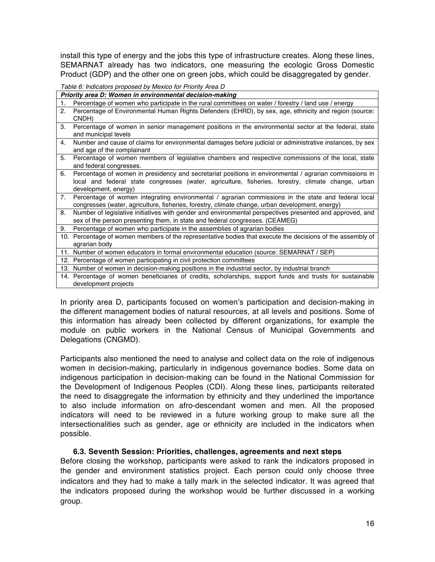install this type of energy and the jobs this type of infrastructure creates. Along these lines, SEMARNAT already has two indicators, one measuring the ecologic Gross Domestic Product (GDP) and the other one on green jobs, which could be disaggregated by gender.

*Table 6: Indicators proposed by Mexico for Priority Area D*

|    | Priority area D: Women in environmental decision-making                                                                                                                                                                              |
|----|--------------------------------------------------------------------------------------------------------------------------------------------------------------------------------------------------------------------------------------|
| 1. | Percentage of women who participate in the rural committees on water / forestry / land use / energy                                                                                                                                  |
| 2. | Percentage of Environmental Human Rights Defenders (EHRD), by sex, age, ethnicity and region (source:<br>CNDH)                                                                                                                       |
| 3. | Percentage of women in senior management positions in the environmental sector at the federal, state<br>and municipal levels                                                                                                         |
| 4. | Number and cause of claims for environmental damages before judicial or administrative instances, by sex<br>and age of the complainant                                                                                               |
| 5. | Percentage of women members of legislative chambers and respective commissions of the local, state<br>and federal congresses.                                                                                                        |
| 6. | Percentage of women in presidency and secretariat positions in environmental / agrarian commissions in<br>local and federal state congresses (water, agriculture, fisheries, forestry, climate change, urban<br>development, energy) |
| 7. | Percentage of women integrating environmental / agrarian commissions in the state and federal local<br>congresses (water, agriculture, fisheries, forestry, climate change, urban development, energy)                               |
| 8. | Number of legislative initiatives with gender and environmental perspectives presented and approved, and<br>sex of the person presenting them, in state and federal congresses. (CEAMEG)                                             |
| 9. | Percentage of women who participate in the assemblies of agrarian bodies                                                                                                                                                             |
|    | 10. Percentage of women members of the representative bodies that execute the decisions of the assembly of<br>agrarian body                                                                                                          |
|    | 11. Number of women educators in formal environmental education (source: SEMARNAT / SEP)                                                                                                                                             |
|    | 12. Percentage of women participating in civil protection committees                                                                                                                                                                 |
|    | 13. Number of women in decision-making positions in the industrial sector, by industrial branch                                                                                                                                      |
|    | 14. Percentage of women beneficiaries of credits, scholarships, support funds and trusts for sustainable<br>development projects                                                                                                     |

In priority area D, participants focused on women's participation and decision-making in the different management bodies of natural resources, at all levels and positions. Some of this information has already been collected by different organizations, for example the module on public workers in the National Census of Municipal Governments and Delegations (CNGMD).

Participants also mentioned the need to analyse and collect data on the role of indigenous women in decision-making, particularly in indigenous governance bodies. Some data on indigenous participation in decision-making can be found in the National Commission for the Development of Indigenous Peoples (CDI). Along these lines, participants reiterated the need to disaggregate the information by ethnicity and they underlined the importance to also include information on afro-descendant women and men. All the proposed indicators will need to be reviewed in a future working group to make sure all the intersectionalities such as gender, age or ethnicity are included in the indicators when possible.

## **6.3. Seventh Session: Priorities, challenges, agreements and next steps**

Before closing the workshop, participants were asked to rank the indicators proposed in the gender and environment statistics project. Each person could only choose three indicators and they had to make a tally mark in the selected indicator. It was agreed that the indicators proposed during the workshop would be further discussed in a working group.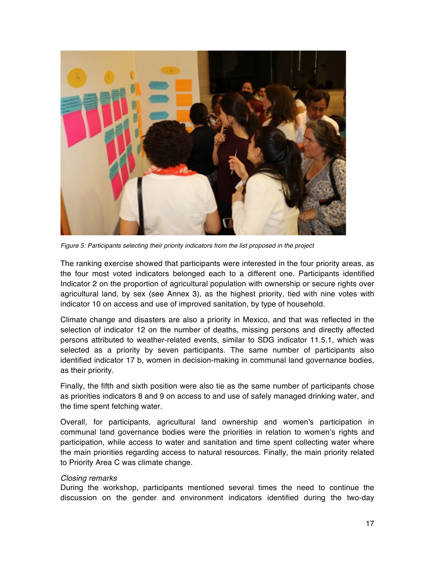

*Figure 5: Participants selecting their priority indicators from the list proposed in the project*

The ranking exercise showed that participants were interested in the four priority areas, as the four most voted indicators belonged each to a different one. Participants identified Indicator 2 on the proportion of agricultural population with ownership or secure rights over agricultural land, by sex (see Annex 3), as the highest priority, tied with nine votes with indicator 10 on access and use of improved sanitation, by type of household.

Climate change and disasters are also a priority in Mexico, and that was reflected in the selection of indicator 12 on the number of deaths, missing persons and directly affected persons attributed to weather-related events, similar to SDG indicator 11.5.1, which was selected as a priority by seven participants. The same number of participants also identified indicator 17 b, women in decision-making in communal land governance bodies, as their priority.

Finally, the fifth and sixth position were also tie as the same number of participants chose as priorities indicators 8 and 9 on access to and use of safely managed drinking water, and the time spent fetching water.

Overall, for participants, agricultural land ownership and women's participation in communal land governance bodies were the priorities in relation to women's rights and participation, while access to water and sanitation and time spent collecting water where the main priorities regarding access to natural resources. Finally, the main priority related to Priority Area C was climate change.

#### *Closing remarks*

During the workshop, participants mentioned several times the need to continue the discussion on the gender and environment indicators identified during the two-day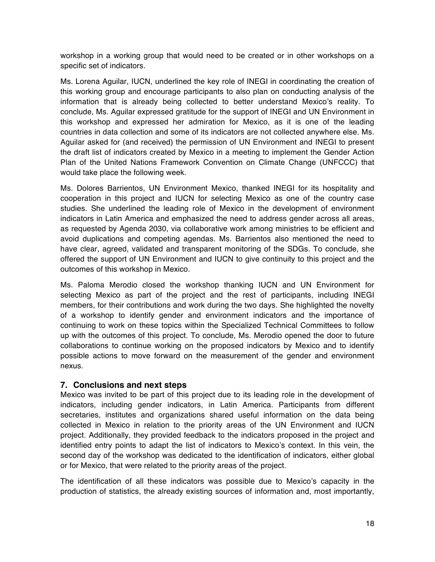workshop in a working group that would need to be created or in other workshops on a specific set of indicators.

Ms. Lorena Aguilar, IUCN, underlined the key role of INEGI in coordinating the creation of this working group and encourage participants to also plan on conducting analysis of the information that is already being collected to better understand Mexico's reality. To conclude, Ms. Aguilar expressed gratitude for the support of INEGI and UN Environment in this workshop and expressed her admiration for Mexico, as it is one of the leading countries in data collection and some of its indicators are not collected anywhere else. Ms. Aguilar asked for (and received) the permission of UN Environment and INEGI to present the draft list of indicators created by Mexico in a meeting to implement the Gender Action Plan of the United Nations Framework Convention on Climate Change (UNFCCC) that would take place the following week.

Ms. Dolores Barrientos, UN Environment Mexico, thanked INEGI for its hospitality and cooperation in this project and IUCN for selecting Mexico as one of the country case studies. She underlined the leading role of Mexico in the development of environment indicators in Latin America and emphasized the need to address gender across all areas, as requested by Agenda 2030, via collaborative work among ministries to be efficient and avoid duplications and competing agendas. Ms. Barrientos also mentioned the need to have clear, agreed, validated and transparent monitoring of the SDGs. To conclude, she offered the support of UN Environment and IUCN to give continuity to this project and the outcomes of this workshop in Mexico.

Ms. Paloma Merodio closed the workshop thanking IUCN and UN Environment for selecting Mexico as part of the project and the rest of participants, including INEGI members, for their contributions and work during the two days. She highlighted the novelty of a workshop to identify gender and environment indicators and the importance of continuing to work on these topics within the Specialized Technical Committees to follow up with the outcomes of this project. To conclude, Ms. Merodio opened the door to future collaborations to continue working on the proposed indicators by Mexico and to identify possible actions to move forward on the measurement of the gender and environment nexus.

## **7. Conclusions and next steps**

Mexico was invited to be part of this project due to its leading role in the development of indicators, including gender indicators, in Latin America. Participants from different secretaries, institutes and organizations shared useful information on the data being collected in Mexico in relation to the priority areas of the UN Environment and IUCN project. Additionally, they provided feedback to the indicators proposed in the project and identified entry points to adapt the list of indicators to Mexico's context. In this vein, the second day of the workshop was dedicated to the identification of indicators, either global or for Mexico, that were related to the priority areas of the project.

The identification of all these indicators was possible due to Mexico's capacity in the production of statistics, the already existing sources of information and, most importantly,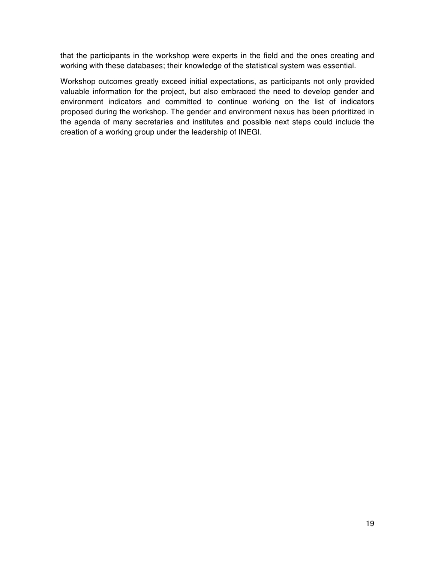that the participants in the workshop were experts in the field and the ones creating and working with these databases; their knowledge of the statistical system was essential.

Workshop outcomes greatly exceed initial expectations, as participants not only provided valuable information for the project, but also embraced the need to develop gender and environment indicators and committed to continue working on the list of indicators proposed during the workshop. The gender and environment nexus has been prioritized in the agenda of many secretaries and institutes and possible next steps could include the creation of a working group under the leadership of INEGI.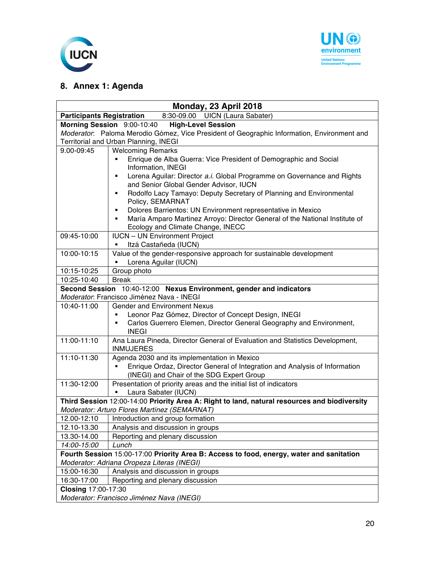



## **8. Annex 1: Agenda**

| Monday, 23 April 2018                                                                                                                  |                                                                                                  |  |
|----------------------------------------------------------------------------------------------------------------------------------------|--------------------------------------------------------------------------------------------------|--|
| <b>Participants Registration</b>                                                                                                       | 8:30-09.00 UICN (Laura Sabater)                                                                  |  |
|                                                                                                                                        | Morning Session 9:00-10:40<br><b>High-Level Session</b>                                          |  |
|                                                                                                                                        | Moderator: Paloma Merodio Gómez, Vice President of Geographic Information, Environment and       |  |
|                                                                                                                                        | Territorial and Urban Planning, INEGI                                                            |  |
| 9.00-09:45                                                                                                                             | <b>Welcoming Remarks</b>                                                                         |  |
|                                                                                                                                        | Enrique de Alba Guerra: Vice President of Demographic and Social                                 |  |
|                                                                                                                                        | Information, INEGI                                                                               |  |
|                                                                                                                                        | Lorena Aguilar: Director a.i. Global Programme on Governance and Rights<br>٠                     |  |
|                                                                                                                                        | and Senior Global Gender Advisor, IUCN                                                           |  |
|                                                                                                                                        | Rodolfo Lacy Tamayo: Deputy Secretary of Planning and Environmental<br>٠<br>Policy, SEMARNAT     |  |
|                                                                                                                                        | Dolores Barrientos: UN Environment representative in Mexico<br>٠                                 |  |
|                                                                                                                                        | María Amparo Martinez Arroyo: Director General of the National Institute of                      |  |
|                                                                                                                                        | Ecology and Climate Change, INECC                                                                |  |
| 09:45-10:00                                                                                                                            | <b>IUCN - UN Environment Project</b>                                                             |  |
|                                                                                                                                        | Itzá Castañeda (IUCN)                                                                            |  |
| 10:00-10:15                                                                                                                            | Value of the gender-responsive approach for sustainable development                              |  |
|                                                                                                                                        | Lorena Aguilar (IUCN)<br>٠                                                                       |  |
| 10:15-10:25                                                                                                                            | Group photo                                                                                      |  |
| 10:25-10:40                                                                                                                            | <b>Break</b>                                                                                     |  |
|                                                                                                                                        | Second Session 10:40-12:00 Nexus Environment, gender and indicators                              |  |
|                                                                                                                                        | Moderator: Francisco Jiménez Nava - INEGI                                                        |  |
| 10:40-11:00                                                                                                                            | <b>Gender and Environment Nexus</b>                                                              |  |
|                                                                                                                                        | Leonor Paz Gómez, Director of Concept Design, INEGI<br>٠                                         |  |
|                                                                                                                                        | Carlos Guerrero Elemen, Director General Geography and Environment,<br>٠                         |  |
|                                                                                                                                        | <b>INEGI</b>                                                                                     |  |
| 11:00-11:10                                                                                                                            | Ana Laura Pineda, Director General of Evaluation and Statistics Development,<br><b>INMUJERES</b> |  |
| 11:10-11:30                                                                                                                            | Agenda 2030 and its implementation in Mexico                                                     |  |
|                                                                                                                                        | Enrique Ordaz, Director General of Integration and Analysis of Information                       |  |
|                                                                                                                                        | (INEGI) and Chair of the SDG Expert Group                                                        |  |
| 11:30-12:00                                                                                                                            | Presentation of priority areas and the initial list of indicators                                |  |
|                                                                                                                                        | Laura Sabater (IUCN)                                                                             |  |
| Third Session 12:00-14:00 Priority Area A: Right to land, natural resources and biodiversity                                           |                                                                                                  |  |
| Moderator: Arturo Flores Martínez (SEMARNAT)                                                                                           |                                                                                                  |  |
| 12.00-12:10                                                                                                                            | Introduction and group formation                                                                 |  |
| 12.10-13.30                                                                                                                            | Analysis and discussion in groups                                                                |  |
| 13.30-14.00                                                                                                                            | Reporting and plenary discussion                                                                 |  |
| 14:00-15:00<br>Lunch                                                                                                                   |                                                                                                  |  |
| Fourth Session 15:00-17:00 Priority Area B: Access to food, energy, water and sanitation<br>Moderator: Adriana Oropeza Literas (INEGI) |                                                                                                  |  |
| 15:00-16:30                                                                                                                            | Analysis and discussion in groups                                                                |  |
| 16:30-17:00                                                                                                                            |                                                                                                  |  |
| Closing 17:00-17:30                                                                                                                    | Reporting and plenary discussion                                                                 |  |
| Moderator: Francisco Jiménez Nava (INEGI)                                                                                              |                                                                                                  |  |
|                                                                                                                                        |                                                                                                  |  |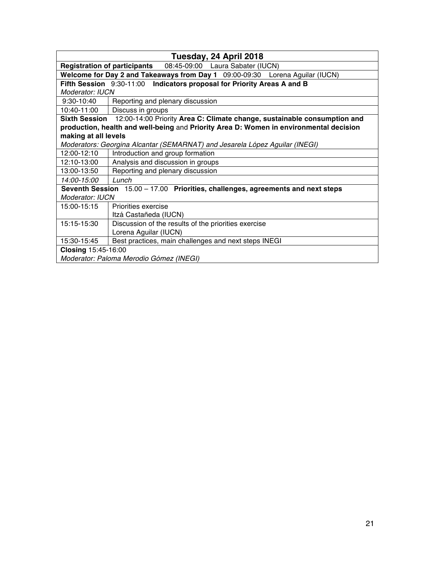|                                                                                        | Tuesday, 24 April 2018                                                                 |  |  |
|----------------------------------------------------------------------------------------|----------------------------------------------------------------------------------------|--|--|
|                                                                                        | <b>Registration of participants</b><br>08:45-09:00 Laura Sabater (IUCN)                |  |  |
|                                                                                        | Welcome for Day 2 and Takeaways from Day 1 09:00-09:30 Lorena Aguilar (IUCN)           |  |  |
|                                                                                        | Fifth Session 9:30-11:00 Indicators proposal for Priority Areas A and B                |  |  |
| Moderator: IUCN                                                                        |                                                                                        |  |  |
| $9:30-10:40$                                                                           | Reporting and plenary discussion                                                       |  |  |
| 10:40-11:00                                                                            | Discuss in groups                                                                      |  |  |
|                                                                                        | Sixth Session 12:00-14:00 Priority Area C: Climate change, sustainable consumption and |  |  |
| production, health and well-being and Priority Area D: Women in environmental decision |                                                                                        |  |  |
| making at all levels                                                                   |                                                                                        |  |  |
|                                                                                        | Moderators: Georgina Alcantar (SEMARNAT) and Jesarela López Aguilar (INEGI)            |  |  |
| 12:00-12:10                                                                            | Introduction and group formation                                                       |  |  |
| 12:10-13:00                                                                            | Analysis and discussion in groups                                                      |  |  |
| 13:00-13:50                                                                            | Reporting and plenary discussion                                                       |  |  |
| 14:00-15:00                                                                            | Lunch                                                                                  |  |  |
| Seventh Session 15.00 - 17.00 Priorities, challenges, agreements and next steps        |                                                                                        |  |  |
| <b>Moderator: IUCN</b>                                                                 |                                                                                        |  |  |
| 15:00-15:15                                                                            | Priorities exercise                                                                    |  |  |
|                                                                                        | Itzá Castañeda (IUCN)                                                                  |  |  |
| 15:15-15:30                                                                            | Discussion of the results of the priorities exercise                                   |  |  |
|                                                                                        | Lorena Aguilar (IUCN)                                                                  |  |  |
| 15:30-15:45                                                                            | Best practices, main challenges and next steps INEGI                                   |  |  |
| Closing 15:45-16:00                                                                    |                                                                                        |  |  |
|                                                                                        | Moderator: Paloma Merodio Gómez (INEGI)                                                |  |  |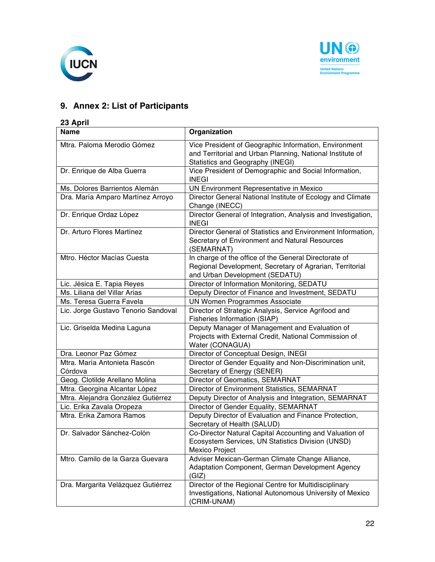



## **9. Annex 2: List of Participants**

## **23 April**

| <b>Name</b>                             | Organization                                                                                                                                           |
|-----------------------------------------|--------------------------------------------------------------------------------------------------------------------------------------------------------|
| Mtra. Paloma Merodio Gómez              | Vice President of Geographic Information, Environment<br>and Territorial and Urban Planning, National Institute of<br>Statistics and Geography (INEGI) |
| Dr. Enrique de Alba Guerra              | Vice President of Demographic and Social Information,<br><b>INEGI</b>                                                                                  |
| Ms. Dolores Barrientos Alemán           | UN Environment Representative in Mexico                                                                                                                |
| Dra. María Amparo Martínez Arroyo       | Director General National Institute of Ecology and Climate<br>Change (INECC)                                                                           |
| Dr. Enrique Ordaz López                 | Director General of Integration, Analysis and Investigation,<br><b>INEGI</b>                                                                           |
| Dr. Arturo Flores Martínez              | Director General of Statistics and Environment Information,<br>Secretary of Environment and Natural Resources<br>(SEMARNAT)                            |
| Mtro. Héctor Macías Cuesta              | In charge of the office of the General Directorate of<br>Regional Development, Secretary of Agrarian, Territorial<br>and Urban Development (SEDATU)    |
| Lic. Jésica E. Tapia Reyes              | Director of Information Monitoring, SEDATU                                                                                                             |
| Ms. Liliana del Villar Arias            | Deputy Director of Finance and Investment, SEDATU                                                                                                      |
| Ms. Teresa Guerra Favela                | <b>UN Women Programmes Associate</b>                                                                                                                   |
| Lic. Jorge Gustavo Tenorio Sandoval     | Director of Strategic Analysis, Service Agrifood and<br><b>Fisheries Information (SIAP)</b>                                                            |
| Lic. Griselda Medina Laguna             | Deputy Manager of Management and Evaluation of<br>Projects with External Credit, National Commission of<br>Water (CONAGUA)                             |
| Dra. Leonor Paz Gómez                   | Director of Conceptual Design, INEGI                                                                                                                   |
| Mtra. María Antonieta Rascón<br>Córdova | Director of Gender Equality and Non-Discrimination unit,<br>Secretary of Energy (SENER)                                                                |
| Geog. Clotilde Arellano Molina          | Director of Geomatics, SEMARNAT                                                                                                                        |
| Mtra. Georgina Alcantar López           | Director of Environment Statistics, SEMARNAT                                                                                                           |
| Mtra. Alejandra González Gutiérrez      | Deputy Director of Analysis and Integration, SEMARNAT                                                                                                  |
| Lic. Erika Zavala Oropeza               | Director of Gender Equality, SEMARNAT                                                                                                                  |
| Mtra. Erika Zamora Ramos                | Deputy Director of Evaluation and Finance Protection,<br>Secretary of Health (SALUD)                                                                   |
| Dr. Salvador Sánchez-Colón              | Co-Director Natural Capital Accounting and Valuation of<br>Ecosystem Services, UN Statistics Division (UNSD)<br>Mexico Project                         |
| Mtro. Camilo de la Garza Guevara        | Adviser Mexican-German Climate Change Alliance,<br>Adaptation Component, German Development Agency<br>(GIZ)                                            |
| Dra. Margarita Velázquez Gutiérrez      | Director of the Regional Centre for Multidisciplinary<br>Investigations, National Autonomous University of Mexico<br>(CRIM-UNAM)                       |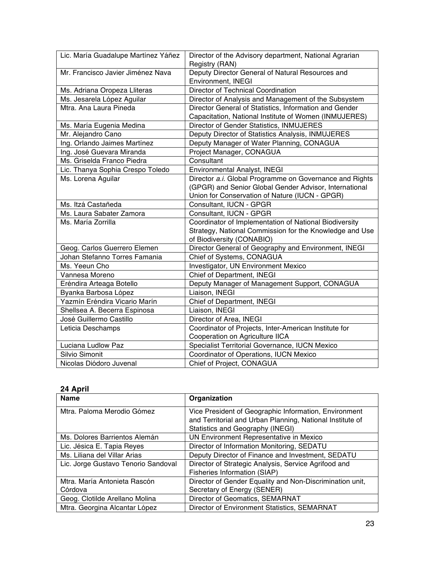| Lic. María Guadalupe Martínez Yáñez | Director of the Advisory department, National Agrarian  |
|-------------------------------------|---------------------------------------------------------|
|                                     | Registry (RAN)                                          |
| Mr. Francisco Javier Jiménez Nava   | Deputy Director General of Natural Resources and        |
|                                     | Environment, INEGI                                      |
| Ms. Adriana Oropeza Lliteras        | Director of Technical Coordination                      |
| Ms. Jesarela López Aguilar          | Director of Analysis and Management of the Subsystem    |
| Mtra. Ana Laura Pineda              | Director General of Statistics, Information and Gender  |
|                                     | Capacitation, National Institute of Women (INMUJERES)   |
| Ms. María Eugenia Medina            | Director of Gender Statistics, INMUJERES                |
| Mr. Alejandro Cano                  | Deputy Director of Statistics Analysis, INMUJERES       |
| Ing. Orlando Jaimes Martínez        | Deputy Manager of Water Planning, CONAGUA               |
| Ing. José Guevara Miranda           | Project Manager, CONAGUA                                |
| Ms. Griselda Franco Piedra          | Consultant                                              |
| Lic. Thanya Sophia Crespo Toledo    | Environmental Analyst, INEGI                            |
| Ms. Lorena Aguilar                  | Director a.i. Global Programme on Governance and Rights |
|                                     | (GPGR) and Senior Global Gender Advisor, International  |
|                                     | Union for Conservation of Nature (IUCN - GPGR)          |
| Ms. Itzá Castañeda                  | Consultant, IUCN - GPGR                                 |
| Ms. Laura Sabater Zamora            | Consultant, IUCN - GPGR                                 |
| Ms. María Zorrilla                  | Coordinator of Implementation of National Biodiversity  |
|                                     | Strategy, National Commission for the Knowledge and Use |
|                                     | of Biodiversity (CONABIO)                               |
| Geog. Carlos Guerrero Elemen        | Director General of Geography and Environment, INEGI    |
| Johan Stefanno Torres Famania       | Chief of Systems, CONAGUA                               |
| Ms. Yeeun Cho                       | Investigator, UN Environment Mexico                     |
| Vannesa Moreno                      | Chief of Department, INEGI                              |
| Eréndira Arteaga Botello            | Deputy Manager of Management Support, CONAGUA           |
| Byanka Barbosa López                | Liaison, INEGI                                          |
| Yazmín Eréndira Vicario Marín       | Chief of Department, INEGI                              |
| Shellsea A. Becerra Espinosa        | Liaison, INEGI                                          |
| José Guillermo Castillo             | Director of Area, INEGI                                 |
| Leticia Deschamps                   | Coordinator of Projects, Inter-American Institute for   |
|                                     | Cooperation on Agriculture IICA                         |
| Luciana Ludlow Paz                  | Specialist Territorial Governance, IUCN Mexico          |
|                                     |                                                         |
| Silvio Simonit                      | Coordinator of Operations, IUCN Mexico                  |

## **24 April**

| <b>Name</b>                         | Organization                                              |
|-------------------------------------|-----------------------------------------------------------|
| Mtra. Paloma Merodio Gómez          | Vice President of Geographic Information, Environment     |
|                                     | and Territorial and Urban Planning, National Institute of |
|                                     | Statistics and Geography (INEGI)                          |
| Ms. Dolores Barrientos Alemán       | UN Environment Representative in Mexico                   |
| Lic. Jésica E. Tapia Reyes          | Director of Information Monitoring, SEDATU                |
| Ms. Liliana del Villar Arias        | Deputy Director of Finance and Investment, SEDATU         |
| Lic. Jorge Gustavo Tenorio Sandoval | Director of Strategic Analysis, Service Agrifood and      |
|                                     | Fisheries Information (SIAP)                              |
| Mtra. María Antonieta Rascón        | Director of Gender Equality and Non-Discrimination unit,  |
| Córdova                             | Secretary of Energy (SENER)                               |
| Geog. Clotilde Arellano Molina      | Director of Geomatics, SEMARNAT                           |
| Mtra. Georgina Alcantar López       | Director of Environment Statistics, SEMARNAT              |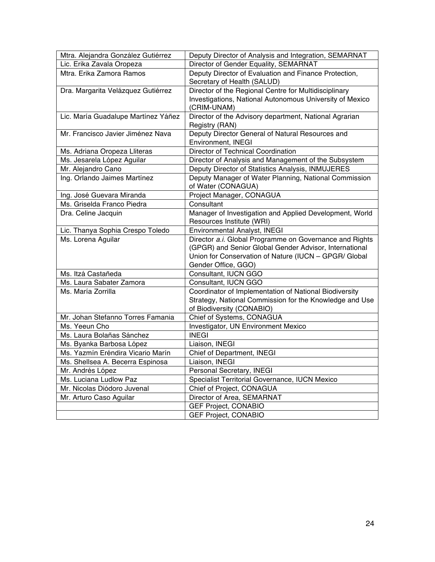| Mtra. Alejandra González Gutiérrez  | Deputy Director of Analysis and Integration, SEMARNAT    |
|-------------------------------------|----------------------------------------------------------|
| Lic. Erika Zavala Oropeza           | Director of Gender Equality, SEMARNAT                    |
| Mtra. Erika Zamora Ramos            | Deputy Director of Evaluation and Finance Protection,    |
|                                     | Secretary of Health (SALUD)                              |
| Dra. Margarita Velázquez Gutiérrez  | Director of the Regional Centre for Multidisciplinary    |
|                                     | Investigations, National Autonomous University of Mexico |
|                                     | (CRIM-UNAM)                                              |
| Lic. María Guadalupe Martínez Yáñez | Director of the Advisory department, National Agrarian   |
|                                     | Registry (RAN)                                           |
| Mr. Francisco Javier Jiménez Nava   | Deputy Director General of Natural Resources and         |
|                                     | Environment, INEGI                                       |
| Ms. Adriana Oropeza Lliteras        | Director of Technical Coordination                       |
| Ms. Jesarela López Aguilar          | Director of Analysis and Management of the Subsystem     |
| Mr. Alejandro Cano                  | Deputy Director of Statistics Analysis, INMUJERES        |
| Ing. Orlando Jaimes Martínez        | Deputy Manager of Water Planning, National Commission    |
|                                     | of Water (CONAGUA)                                       |
| Ing. José Guevara Miranda           | Project Manager, CONAGUA                                 |
| Ms. Griselda Franco Piedra          | Consultant                                               |
| Dra. Celine Jacquin                 | Manager of Investigation and Applied Development, World  |
|                                     | Resources Institute (WRI)                                |
| Lic. Thanya Sophia Crespo Toledo    | Environmental Analyst, INEGI                             |
| Ms. Lorena Aguilar                  | Director a.i. Global Programme on Governance and Rights  |
|                                     | (GPGR) and Senior Global Gender Advisor, International   |
|                                     | Union for Conservation of Nature (IUCN - GPGR/ Global    |
|                                     | Gender Office, GGO)                                      |
| Ms. Itzá Castañeda                  | Consultant, IUCN GGO                                     |
| Ms. Laura Sabater Zamora            | Consultant, IUCN GGO                                     |
| Ms. María Zorrilla                  | Coordinator of Implementation of National Biodiversity   |
|                                     | Strategy, National Commission for the Knowledge and Use  |
|                                     | of Biodiversity (CONABIO)                                |
| Mr. Johan Stefanno Torres Famania   | Chief of Systems, CONAGUA                                |
| Ms. Yeeun Cho                       | Investigator, UN Environment Mexico                      |
| Ms. Laura Bolañas Sánchez           | <b>INEGI</b>                                             |
| Ms. Byanka Barbosa López            | Liaison, INEGI                                           |
| Ms. Yazmín Eréndira Vicario Marín   | Chief of Department, INEGI                               |
| Ms. Shellsea A. Becerra Espinosa    | Liaison, INEGI                                           |
| Mr. Andrés López                    | Personal Secretary, INEGI                                |
| Ms. Luciana Ludlow Paz              | Specialist Territorial Governance, IUCN Mexico           |
| Mr. Nicolas Diódoro Juvenal         | Chief of Project, CONAGUA                                |
| Mr. Arturo Caso Aguilar             | Director of Area, SEMARNAT                               |
|                                     | <b>GEF Project, CONABIO</b>                              |
|                                     | <b>GEF Project, CONABIO</b>                              |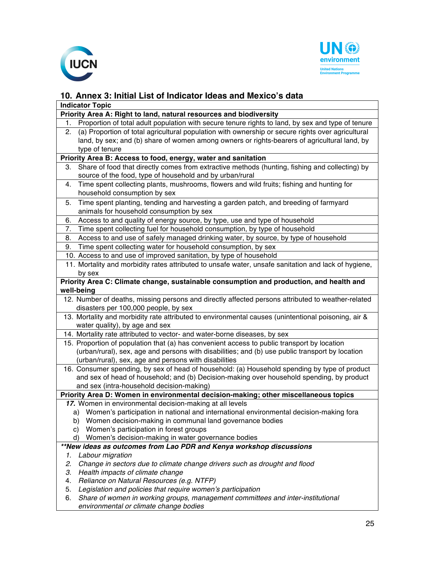



## **10. Annex 3: Initial List of Indicator Ideas and Mexico's data**

| <b>Indicator Topic</b>                                                                                   |  |  |  |
|----------------------------------------------------------------------------------------------------------|--|--|--|
| Priority Area A: Right to land, natural resources and biodiversity                                       |  |  |  |
| Proportion of total adult population with secure tenure rights to land, by sex and type of tenure<br>1.  |  |  |  |
| (a) Proportion of total agricultural population with ownership or secure rights over agricultural<br>2.  |  |  |  |
| land, by sex; and (b) share of women among owners or rights-bearers of agricultural land, by             |  |  |  |
| type of tenure                                                                                           |  |  |  |
| Priority Area B: Access to food, energy, water and sanitation                                            |  |  |  |
| Share of food that directly comes from extractive methods (hunting, fishing and collecting) by<br>3.     |  |  |  |
| source of the food, type of household and by urban/rural                                                 |  |  |  |
| Time spent collecting plants, mushrooms, flowers and wild fruits; fishing and hunting for<br>4.          |  |  |  |
| household consumption by sex                                                                             |  |  |  |
| Time spent planting, tending and harvesting a garden patch, and breeding of farmyard<br>5.               |  |  |  |
| animals for household consumption by sex                                                                 |  |  |  |
| Access to and quality of energy source, by type, use and type of household<br>6.                         |  |  |  |
| Time spent collecting fuel for household consumption, by type of household<br>7.                         |  |  |  |
| Access to and use of safely managed drinking water, by source, by type of household<br>8.                |  |  |  |
| Time spent collecting water for household consumption, by sex<br>9.                                      |  |  |  |
| 10. Access to and use of improved sanitation, by type of household                                       |  |  |  |
| 11. Mortality and morbidity rates attributed to unsafe water, unsafe sanitation and lack of hygiene,     |  |  |  |
| by sex                                                                                                   |  |  |  |
| Priority Area C: Climate change, sustainable consumption and production, and health and                  |  |  |  |
| well-being                                                                                               |  |  |  |
| 12. Number of deaths, missing persons and directly affected persons attributed to weather-related        |  |  |  |
| disasters per 100,000 people, by sex                                                                     |  |  |  |
| 13. Mortality and morbidity rate attributed to environmental causes (unintentional poisoning, air &      |  |  |  |
| water quality), by age and sex                                                                           |  |  |  |
| 14. Mortality rate attributed to vector- and water-borne diseases, by sex                                |  |  |  |
| 15. Proportion of population that (a) has convenient access to public transport by location              |  |  |  |
| (urban/rural), sex, age and persons with disabilities; and (b) use public transport by location          |  |  |  |
| (urban/rural), sex, age and persons with disabilities                                                    |  |  |  |
| 16. Consumer spending, by sex of head of household: (a) Household spending by type of product            |  |  |  |
| and sex of head of household; and (b) Decision-making over household spending, by product                |  |  |  |
| and sex (intra-household decision-making)                                                                |  |  |  |
| Priority Area D: Women in environmental decision-making; other miscellaneous topics                      |  |  |  |
| 17. Women in environmental decision-making at all levels                                                 |  |  |  |
| a) Women's participation in national and international environmental decision-making fora                |  |  |  |
| Women decision-making in communal land governance bodies<br>b)                                           |  |  |  |
| Women's participation in forest groups<br>C)<br>Women's decision-making in water governance bodies<br>d) |  |  |  |
| **New ideas as outcomes from Lao PDR and Kenya workshop discussions                                      |  |  |  |
| Labour migration<br>1.                                                                                   |  |  |  |
| Change in sectors due to climate change drivers such as drought and flood<br>2.                          |  |  |  |
| 3.<br>Health impacts of climate change                                                                   |  |  |  |
| Reliance on Natural Resources (e.g. NTFP)<br>4.                                                          |  |  |  |
| 5.<br>Legislation and policies that require women's participation                                        |  |  |  |
| Share of women in working groups, management committees and inter-institutional<br>6.                    |  |  |  |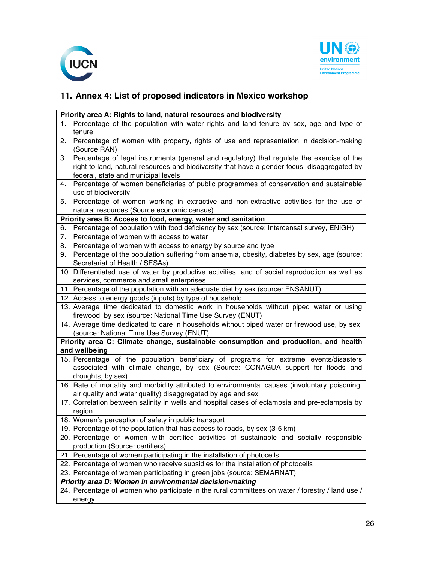



# **11. Annex 4: List of proposed indicators in Mexico workshop**

| Priority area A: Rights to land, natural resources and biodiversity                 |                                                                                                                                      |  |  |
|-------------------------------------------------------------------------------------|--------------------------------------------------------------------------------------------------------------------------------------|--|--|
| 1.                                                                                  | Percentage of the population with water rights and land tenure by sex, age and type of                                               |  |  |
|                                                                                     | tenure                                                                                                                               |  |  |
| 2.                                                                                  | Percentage of women with property, rights of use and representation in decision-making                                               |  |  |
|                                                                                     | (Source RAN)                                                                                                                         |  |  |
| 3.                                                                                  | Percentage of legal instruments (general and regulatory) that regulate the exercise of the                                           |  |  |
|                                                                                     | right to land, natural resources and biodiversity that have a gender focus, disaggregated by                                         |  |  |
|                                                                                     | federal, state and municipal levels                                                                                                  |  |  |
| 4.                                                                                  | Percentage of women beneficiaries of public programmes of conservation and sustainable                                               |  |  |
|                                                                                     | use of biodiversity                                                                                                                  |  |  |
| 5.                                                                                  | Percentage of women working in extractive and non-extractive activities for the use of                                               |  |  |
|                                                                                     | natural resources (Source economic census)                                                                                           |  |  |
| Priority area B: Access to food, energy, water and sanitation                       |                                                                                                                                      |  |  |
| 6.<br>7.                                                                            | Percentage of population with food deficiency by sex (source: Intercensal survey, ENIGH)<br>Percentage of women with access to water |  |  |
| 8.                                                                                  | Percentage of women with access to energy by source and type                                                                         |  |  |
| 9.                                                                                  | Percentage of the population suffering from anaemia, obesity, diabetes by sex, age (source:                                          |  |  |
|                                                                                     | Secretariat of Health / SESAs)                                                                                                       |  |  |
|                                                                                     | 10. Differentiated use of water by productive activities, and of social reproduction as well as                                      |  |  |
|                                                                                     | services, commerce and small enterprises                                                                                             |  |  |
|                                                                                     | 11. Percentage of the population with an adequate diet by sex (source: ENSANUT)                                                      |  |  |
|                                                                                     | 12. Access to energy goods (inputs) by type of household                                                                             |  |  |
|                                                                                     | 13. Average time dedicated to domestic work in households without piped water or using                                               |  |  |
|                                                                                     | firewood, by sex (source: National Time Use Survey (ENUT)                                                                            |  |  |
|                                                                                     | 14. Average time dedicated to care in households without piped water or firewood use, by sex.                                        |  |  |
|                                                                                     | (source: National Time Use Survey (ENUT)                                                                                             |  |  |
| Priority area C: Climate change, sustainable consumption and production, and health |                                                                                                                                      |  |  |
| and wellbeing                                                                       |                                                                                                                                      |  |  |
|                                                                                     | 15. Percentage of the population beneficiary of programs for extreme events/disasters                                                |  |  |
|                                                                                     | associated with climate change, by sex (Source: CONAGUA support for floods and                                                       |  |  |
|                                                                                     | droughts, by sex)                                                                                                                    |  |  |
|                                                                                     | 16. Rate of mortality and morbidity attributed to environmental causes (involuntary poisoning,                                       |  |  |
|                                                                                     | air quality and water quality) disaggregated by age and sex                                                                          |  |  |
|                                                                                     | 17. Correlation between salinity in wells and hospital cases of eclampsia and pre-eclampsia by                                       |  |  |
|                                                                                     | region.                                                                                                                              |  |  |
|                                                                                     | 18. Women's perception of safety in public transport<br>19. Percentage of the population that has access to roads, by sex (3-5 km)   |  |  |
|                                                                                     | 20. Percentage of women with certified activities of sustainable and socially responsible                                            |  |  |
|                                                                                     | production (Source: certifiers)                                                                                                      |  |  |
|                                                                                     | 21. Percentage of women participating in the installation of photocells                                                              |  |  |
|                                                                                     | 22. Percentage of women who receive subsidies for the installation of photocells                                                     |  |  |
|                                                                                     | 23. Percentage of women participating in green jobs (source: SEMARNAT)                                                               |  |  |
|                                                                                     | Priority area D: Women in environmental decision-making                                                                              |  |  |
|                                                                                     | 24. Percentage of women who participate in the rural committees on water / forestry / land use /                                     |  |  |
|                                                                                     | energy                                                                                                                               |  |  |